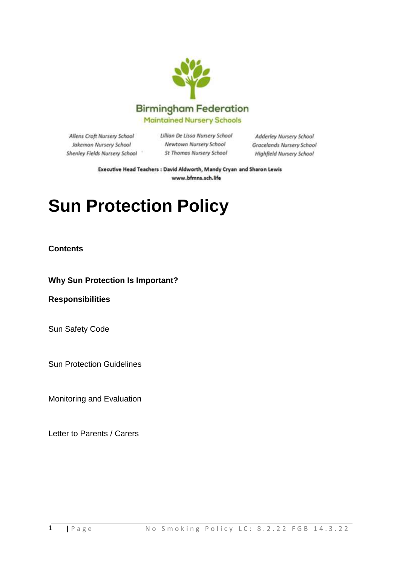

Allens Croft Nursery School Jakeman Nursery School Shenley Fields Nursery School Lillian De Lissa Nursery School Newtown Nursery School St Thomas Nursery School

Adderley Nursery School **Gracelands Nursery School** Highfield Nursery School

Executive Head Teachers : David Aldworth, Mandy Cryan and Sharon Lewis www.bfmns.sch.life

# **Sun Protection Policy**

#### **Contents**

**Why Sun Protection Is Important?**

**Responsibilities**

Sun Safety Code

Sun Protection Guidelines

Monitoring and Evaluation

Letter to Parents / Carers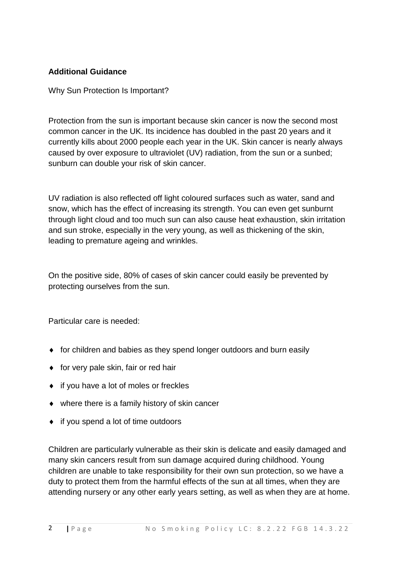#### **Additional Guidance**

Why Sun Protection Is Important?

Protection from the sun is important because skin cancer is now the second most common cancer in the UK. Its incidence has doubled in the past 20 years and it currently kills about 2000 people each year in the UK. Skin cancer is nearly always caused by over exposure to ultraviolet (UV) radiation, from the sun or a sunbed; sunburn can double your risk of skin cancer.

UV radiation is also reflected off light coloured surfaces such as water, sand and snow, which has the effect of increasing its strength. You can even get sunburnt through light cloud and too much sun can also cause heat exhaustion, skin irritation and sun stroke, especially in the very young, as well as thickening of the skin, leading to premature ageing and wrinkles.

On the positive side, 80% of cases of skin cancer could easily be prevented by protecting ourselves from the sun.

Particular care is needed:

- for children and babies as they spend longer outdoors and burn easily
- $\bullet$  for very pale skin, fair or red hair
- ◆ if you have a lot of moles or freckles
- where there is a family history of skin cancer
- $\bullet$  if you spend a lot of time outdoors

Children are particularly vulnerable as their skin is delicate and easily damaged and many skin cancers result from sun damage acquired during childhood. Young children are unable to take responsibility for their own sun protection, so we have a duty to protect them from the harmful effects of the sun at all times, when they are attending nursery or any other early years setting, as well as when they are at home.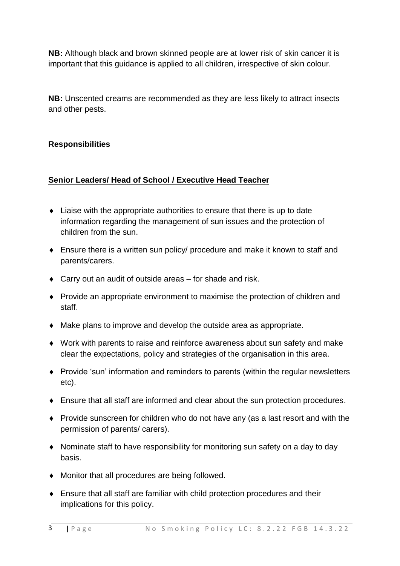**NB:** Although black and brown skinned people are at lower risk of skin cancer it is important that this guidance is applied to all children, irrespective of skin colour.

**NB:** Unscented creams are recommended as they are less likely to attract insects and other pests.

# **Responsibilities**

### **Senior Leaders/ Head of School / Executive Head Teacher**

- Liaise with the appropriate authorities to ensure that there is up to date information regarding the management of sun issues and the protection of children from the sun.
- Ensure there is a written sun policy/ procedure and make it known to staff and parents/carers.
- Carry out an audit of outside areas for shade and risk.
- Provide an appropriate environment to maximise the protection of children and staff.
- Make plans to improve and develop the outside area as appropriate.
- Work with parents to raise and reinforce awareness about sun safety and make clear the expectations, policy and strategies of the organisation in this area.
- Provide 'sun' information and reminders to parents (within the regular newsletters etc).
- Ensure that all staff are informed and clear about the sun protection procedures.
- Provide sunscreen for children who do not have any (as a last resort and with the permission of parents/ carers).
- Nominate staff to have responsibility for monitoring sun safety on a day to day basis.
- Monitor that all procedures are being followed.
- Ensure that all staff are familiar with child protection procedures and their implications for this policy.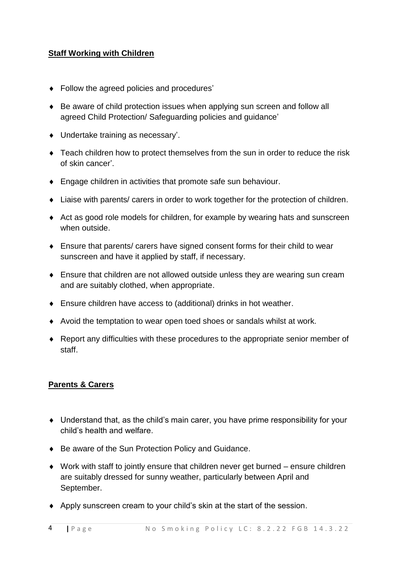### **Staff Working with Children**

- Follow the agreed policies and procedures'
- Be aware of child protection issues when applying sun screen and follow all agreed Child Protection/ Safeguarding policies and guidance'
- Undertake training as necessary'.
- Teach children how to protect themselves from the sun in order to reduce the risk of skin cancer'.
- **Engage children in activities that promote safe sun behaviour.**
- Liaise with parents/ carers in order to work together for the protection of children.
- Act as good role models for children, for example by wearing hats and sunscreen when outside.
- Ensure that parents/ carers have signed consent forms for their child to wear sunscreen and have it applied by staff, if necessary.
- Ensure that children are not allowed outside unless they are wearing sun cream and are suitably clothed, when appropriate.
- Ensure children have access to (additional) drinks in hot weather.
- Avoid the temptation to wear open toed shoes or sandals whilst at work.
- Report any difficulties with these procedures to the appropriate senior member of staff.

# **Parents & Carers**

- Understand that, as the child's main carer, you have prime responsibility for your child's health and welfare.
- ◆ Be aware of the Sun Protection Policy and Guidance.
- Work with staff to jointly ensure that children never get burned ensure children are suitably dressed for sunny weather, particularly between April and September.
- Apply sunscreen cream to your child's skin at the start of the session.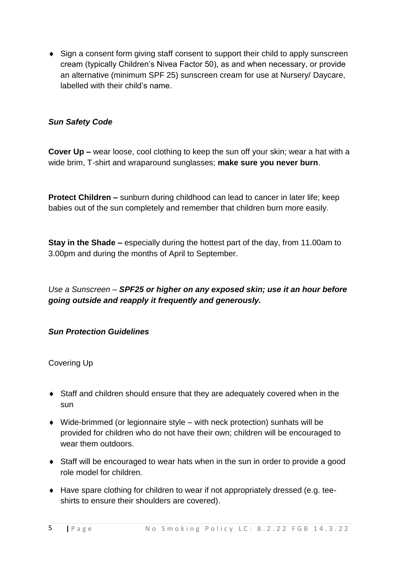• Sign a consent form giving staff consent to support their child to apply sunscreen cream (typically Children's Nivea Factor 50), as and when necessary, or provide an alternative (minimum SPF 25) sunscreen cream for use at Nursery/ Daycare, labelled with their child's name.

### *Sun Safety Code*

**Cover Up –** wear loose, cool clothing to keep the sun off your skin; wear a hat with a wide brim, T-shirt and wraparound sunglasses; **make sure you never burn**.

**Protect Children –** sunburn during childhood can lead to cancer in later life; keep babies out of the sun completely and remember that children burn more easily.

**Stay in the Shade –** especially during the hottest part of the day, from 11.00am to 3.00pm and during the months of April to September.

*Use a Sunscreen – SPF25 or higher on any exposed skin; use it an hour before going outside and reapply it frequently and generously.*

#### *Sun Protection Guidelines*

Covering Up

- Staff and children should ensure that they are adequately covered when in the sun
- Wide-brimmed (or legionnaire style with neck protection) sunhats will be provided for children who do not have their own; children will be encouraged to wear them outdoors.
- Staff will be encouraged to wear hats when in the sun in order to provide a good role model for children.
- Have spare clothing for children to wear if not appropriately dressed (e.g. teeshirts to ensure their shoulders are covered).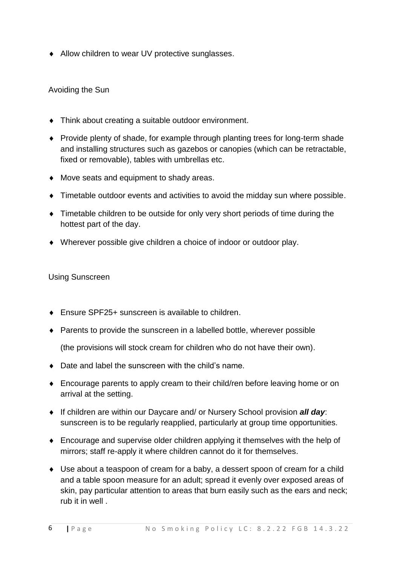◆ Allow children to wear UV protective sunglasses.

### Avoiding the Sun

- Think about creating a suitable outdoor environment.
- Provide plenty of shade, for example through planting trees for long-term shade and installing structures such as gazebos or canopies (which can be retractable, fixed or removable), tables with umbrellas etc.
- Move seats and equipment to shady areas.
- Timetable outdoor events and activities to avoid the midday sun where possible.
- Timetable children to be outside for only very short periods of time during the hottest part of the day.
- Wherever possible give children a choice of indoor or outdoor play.

#### Using Sunscreen

- ◆ Ensure SPF25+ sunscreen is available to children.
- ◆ Parents to provide the sunscreen in a labelled bottle, wherever possible

(the provisions will stock cream for children who do not have their own).

- ◆ Date and label the sunscreen with the child's name.
- Encourage parents to apply cream to their child/ren before leaving home or on arrival at the setting.
- If children are within our Daycare and/ or Nursery School provision *all day*: sunscreen is to be regularly reapplied, particularly at group time opportunities.
- Encourage and supervise older children applying it themselves with the help of mirrors; staff re-apply it where children cannot do it for themselves.
- Use about a teaspoon of cream for a baby, a dessert spoon of cream for a child and a table spoon measure for an adult; spread it evenly over exposed areas of skin, pay particular attention to areas that burn easily such as the ears and neck; rub it in well .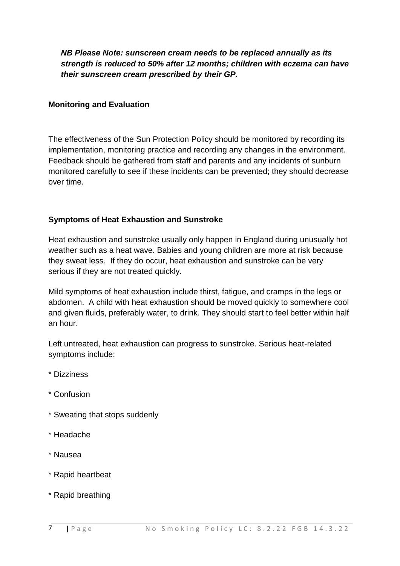*NB Please Note: sunscreen cream needs to be replaced annually as its strength is reduced to 50% after 12 months; children with eczema can have their sunscreen cream prescribed by their GP.* 

#### **Monitoring and Evaluation**

The effectiveness of the Sun Protection Policy should be monitored by recording its implementation, monitoring practice and recording any changes in the environment. Feedback should be gathered from staff and parents and any incidents of sunburn monitored carefully to see if these incidents can be prevented; they should decrease over time.

### **Symptoms of Heat Exhaustion and Sunstroke**

Heat exhaustion and sunstroke usually only happen in England during unusually hot weather such as a heat wave. Babies and young children are more at risk because they sweat less. If they do occur, heat exhaustion and sunstroke can be very serious if they are not treated quickly.

Mild symptoms of heat exhaustion include thirst, fatigue, and cramps in the legs or abdomen. A child with heat exhaustion should be moved quickly to somewhere cool and given fluids, preferably water, to drink. They should start to feel better within half an hour.

Left untreated, heat exhaustion can progress to sunstroke. Serious heat-related symptoms include:

- \* Dizziness
- \* Confusion
- \* Sweating that stops suddenly
- \* Headache
- \* Nausea
- \* Rapid heartbeat
- \* Rapid breathing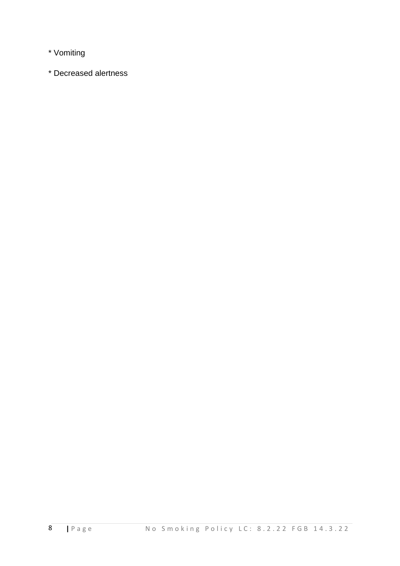\* Vomiting

\* Decreased alertness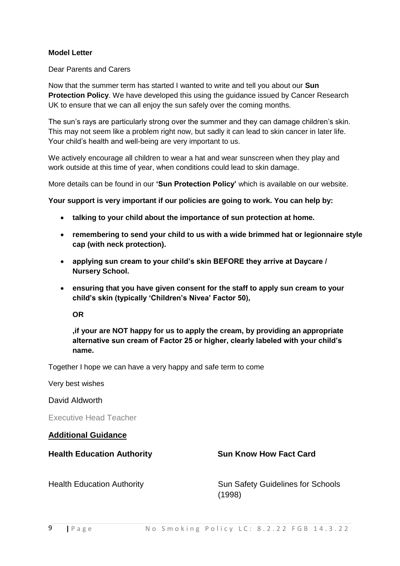#### **Model Letter**

Dear Parents and Carers

Now that the summer term has started I wanted to write and tell you about our **Sun Protection Policy**. We have developed this using the guidance issued by Cancer Research UK to ensure that we can all enjoy the sun safely over the coming months.

The sun's rays are particularly strong over the summer and they can damage children's skin. This may not seem like a problem right now, but sadly it can lead to skin cancer in later life. Your child's health and well-being are very important to us.

We actively encourage all children to wear a hat and wear sunscreen when they play and work outside at this time of year, when conditions could lead to skin damage.

More details can be found in our **'Sun Protection Policy'** which is available on our website.

**Your support is very important if our policies are going to work. You can help by:**

- **talking to your child about the importance of sun protection at home.**
- **remembering to send your child to us with a wide brimmed hat or legionnaire style cap (with neck protection).**
- **applying sun cream to your child's skin BEFORE they arrive at Daycare / Nursery School.**
- **ensuring that you have given consent for the staff to apply sun cream to your child's skin (typically 'Children's Nivea' Factor 50),**

**OR**

**,if your are NOT happy for us to apply the cream, by providing an appropriate alternative sun cream of Factor 25 or higher, clearly labeled with your child's name.**

Together I hope we can have a very happy and safe term to come

Very best wishes

David Aldworth

Executive Head Teacher

**Additional Guidance**

**Health Education Authority Sun Know How Fact Card**

Health Education Authority **Sun Safety Guidelines for Schools** (1998)